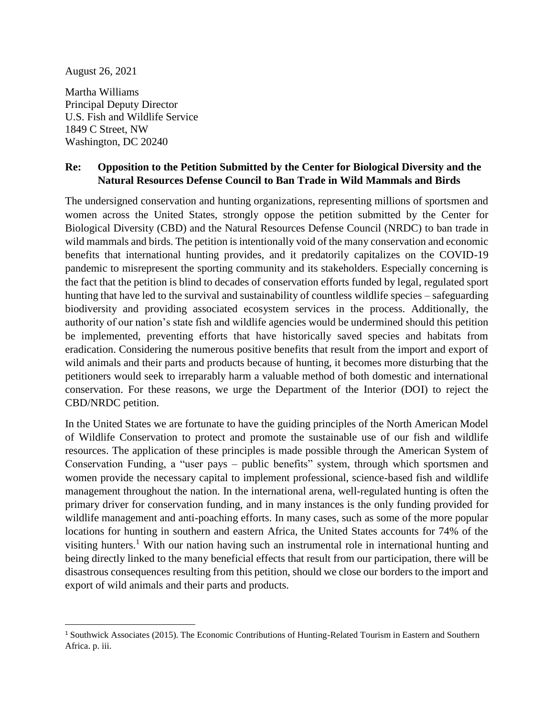August 26, 2021

l

Martha Williams Principal Deputy Director U.S. Fish and Wildlife Service 1849 C Street, NW Washington, DC 20240

## **Re: Opposition to the Petition Submitted by the Center for Biological Diversity and the Natural Resources Defense Council to Ban Trade in Wild Mammals and Birds**

The undersigned conservation and hunting organizations, representing millions of sportsmen and women across the United States, strongly oppose the petition submitted by the Center for Biological Diversity (CBD) and the Natural Resources Defense Council (NRDC) to ban trade in wild mammals and birds. The petition is intentionally void of the many conservation and economic benefits that international hunting provides, and it predatorily capitalizes on the COVID-19 pandemic to misrepresent the sporting community and its stakeholders. Especially concerning is the fact that the petition is blind to decades of conservation efforts funded by legal, regulated sport hunting that have led to the survival and sustainability of countless wildlife species – safeguarding biodiversity and providing associated ecosystem services in the process. Additionally, the authority of our nation's state fish and wildlife agencies would be undermined should this petition be implemented, preventing efforts that have historically saved species and habitats from eradication. Considering the numerous positive benefits that result from the import and export of wild animals and their parts and products because of hunting, it becomes more disturbing that the petitioners would seek to irreparably harm a valuable method of both domestic and international conservation. For these reasons, we urge the Department of the Interior (DOI) to reject the CBD/NRDC petition.

In the United States we are fortunate to have the guiding principles of the North American Model of Wildlife Conservation to protect and promote the sustainable use of our fish and wildlife resources. The application of these principles is made possible through the American System of Conservation Funding, a "user pays – public benefits" system, through which sportsmen and women provide the necessary capital to implement professional, science-based fish and wildlife management throughout the nation. In the international arena, well-regulated hunting is often the primary driver for conservation funding, and in many instances is the only funding provided for wildlife management and anti-poaching efforts. In many cases, such as some of the more popular locations for hunting in southern and eastern Africa, the United States accounts for 74% of the visiting hunters.<sup>1</sup> With our nation having such an instrumental role in international hunting and being directly linked to the many beneficial effects that result from our participation, there will be disastrous consequences resulting from this petition, should we close our borders to the import and export of wild animals and their parts and products.

<sup>&</sup>lt;sup>1</sup> Southwick Associates (2015). The Economic Contributions of Hunting-Related Tourism in Eastern and Southern Africa. p. iii.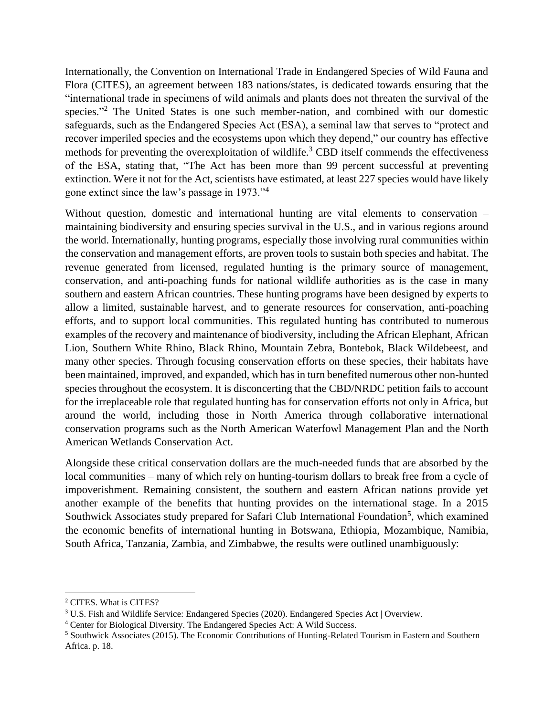Internationally, the Convention on International Trade in Endangered Species of Wild Fauna and Flora (CITES), an agreement between 183 nations/states, is dedicated towards ensuring that the "international trade in specimens of wild animals and plants does not threaten the survival of the species."<sup>2</sup> The United States is one such member-nation, and combined with our domestic safeguards, such as the Endangered Species Act (ESA), a seminal law that serves to "protect and recover imperiled species and the ecosystems upon which they depend," our country has effective methods for preventing the overexploitation of wildlife.<sup>3</sup> CBD itself commends the effectiveness of the ESA, stating that, "The Act has been more than 99 percent successful at preventing extinction. Were it not for the Act, scientists have estimated, at least 227 species would have likely gone extinct since the law's passage in 1973."<sup>4</sup>

Without question, domestic and international hunting are vital elements to conservation – maintaining biodiversity and ensuring species survival in the U.S., and in various regions around the world. Internationally, hunting programs, especially those involving rural communities within the conservation and management efforts, are proven tools to sustain both species and habitat. The revenue generated from licensed, regulated hunting is the primary source of management, conservation, and anti-poaching funds for national wildlife authorities as is the case in many southern and eastern African countries. These hunting programs have been designed by experts to allow a limited, sustainable harvest, and to generate resources for conservation, anti-poaching efforts, and to support local communities. This regulated hunting has contributed to numerous examples of the recovery and maintenance of biodiversity, including the African Elephant, African Lion, Southern White Rhino, Black Rhino, Mountain Zebra, Bontebok, Black Wildebeest, and many other species. Through focusing conservation efforts on these species, their habitats have been maintained, improved, and expanded, which has in turn benefited numerous other non-hunted species throughout the ecosystem. It is disconcerting that the CBD/NRDC petition fails to account for the irreplaceable role that regulated hunting has for conservation efforts not only in Africa, but around the world, including those in North America through collaborative international conservation programs such as the North American Waterfowl Management Plan and the North American Wetlands Conservation Act.

Alongside these critical conservation dollars are the much-needed funds that are absorbed by the local communities – many of which rely on hunting-tourism dollars to break free from a cycle of impoverishment. Remaining consistent, the southern and eastern African nations provide yet another example of the benefits that hunting provides on the international stage. In a 2015 Southwick Associates study prepared for Safari Club International Foundation<sup>5</sup>, which examined the economic benefits of international hunting in Botswana, Ethiopia, Mozambique, Namibia, South Africa, Tanzania, Zambia, and Zimbabwe, the results were outlined unambiguously:

l

<sup>2</sup> CITES. What is CITES?

<sup>3</sup> U.S. Fish and Wildlife Service: Endangered Species (2020). Endangered Species Act | Overview.

<sup>4</sup> Center for Biological Diversity. The Endangered Species Act: A Wild Success.

<sup>5</sup> Southwick Associates (2015). The Economic Contributions of Hunting-Related Tourism in Eastern and Southern Africa. p. 18.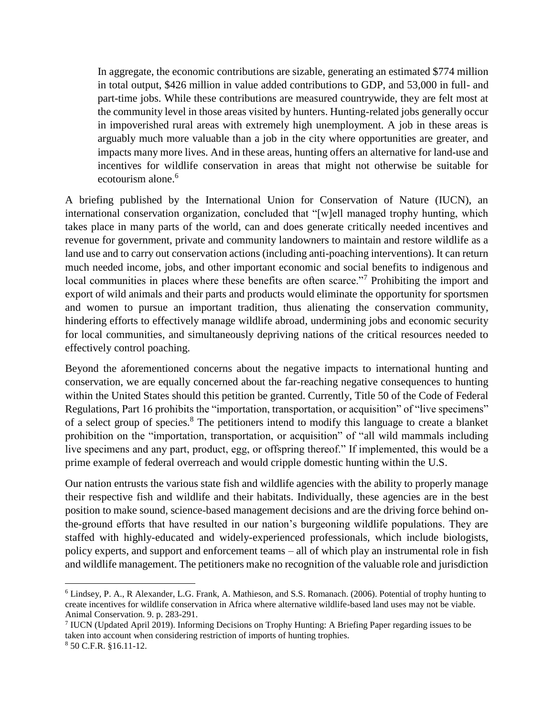In aggregate, the economic contributions are sizable, generating an estimated \$774 million in total output, \$426 million in value added contributions to GDP, and 53,000 in full- and part-time jobs. While these contributions are measured countrywide, they are felt most at the community level in those areas visited by hunters. Hunting-related jobs generally occur in impoverished rural areas with extremely high unemployment. A job in these areas is arguably much more valuable than a job in the city where opportunities are greater, and impacts many more lives. And in these areas, hunting offers an alternative for land-use and incentives for wildlife conservation in areas that might not otherwise be suitable for ecotourism alone.<sup>6</sup>

A briefing published by the International Union for Conservation of Nature (IUCN), an international conservation organization, concluded that "[w]ell managed trophy hunting, which takes place in many parts of the world, can and does generate critically needed incentives and revenue for government, private and community landowners to maintain and restore wildlife as a land use and to carry out conservation actions (including anti-poaching interventions). It can return much needed income, jobs, and other important economic and social benefits to indigenous and local communities in places where these benefits are often scarce."<sup>7</sup> Prohibiting the import and export of wild animals and their parts and products would eliminate the opportunity for sportsmen and women to pursue an important tradition, thus alienating the conservation community, hindering efforts to effectively manage wildlife abroad, undermining jobs and economic security for local communities, and simultaneously depriving nations of the critical resources needed to effectively control poaching.

Beyond the aforementioned concerns about the negative impacts to international hunting and conservation, we are equally concerned about the far-reaching negative consequences to hunting within the United States should this petition be granted. Currently, Title 50 of the Code of Federal Regulations, Part 16 prohibits the "importation, transportation, or acquisition" of "live specimens" of a select group of species.<sup>8</sup> The petitioners intend to modify this language to create a blanket prohibition on the "importation, transportation, or acquisition" of "all wild mammals including live specimens and any part, product, egg, or offspring thereof." If implemented, this would be a prime example of federal overreach and would cripple domestic hunting within the U.S.

Our nation entrusts the various state fish and wildlife agencies with the ability to properly manage their respective fish and wildlife and their habitats. Individually, these agencies are in the best position to make sound, science-based management decisions and are the driving force behind onthe-ground efforts that have resulted in our nation's burgeoning wildlife populations. They are staffed with highly-educated and widely-experienced professionals, which include biologists, policy experts, and support and enforcement teams – all of which play an instrumental role in fish and wildlife management. The petitioners make no recognition of the valuable role and jurisdiction

l

<sup>6</sup> Lindsey, P. A., R Alexander, L.G. Frank, A. Mathieson, and S.S. Romanach. (2006). Potential of trophy hunting to create incentives for wildlife conservation in Africa where alternative wildlife-based land uses may not be viable. Animal Conservation. 9. p. 283-291.

<sup>7</sup> IUCN (Updated April 2019). Informing Decisions on Trophy Hunting: A Briefing Paper regarding issues to be taken into account when considering restriction of imports of hunting trophies. <sup>8</sup> 50 C.F.R. §16.11-12.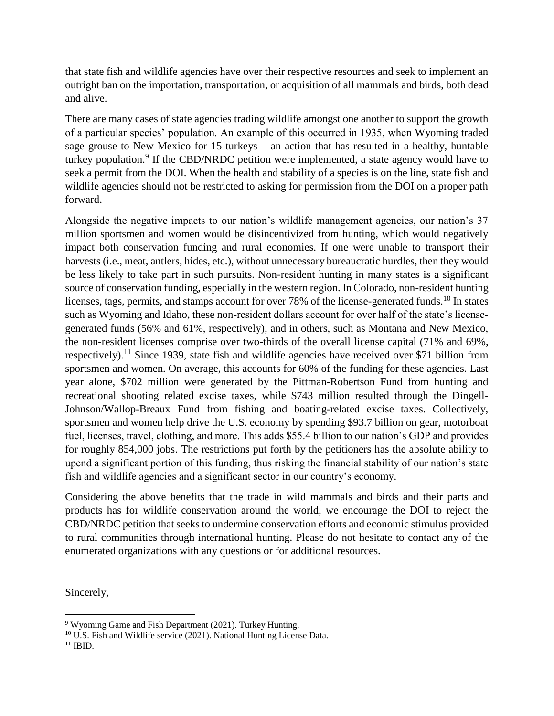that state fish and wildlife agencies have over their respective resources and seek to implement an outright ban on the importation, transportation, or acquisition of all mammals and birds, both dead and alive.

There are many cases of state agencies trading wildlife amongst one another to support the growth of a particular species' population. An example of this occurred in 1935, when Wyoming traded sage grouse to New Mexico for 15 turkeys – an action that has resulted in a healthy, huntable turkey population.<sup>9</sup> If the CBD/NRDC petition were implemented, a state agency would have to seek a permit from the DOI. When the health and stability of a species is on the line, state fish and wildlife agencies should not be restricted to asking for permission from the DOI on a proper path forward.

Alongside the negative impacts to our nation's wildlife management agencies, our nation's 37 million sportsmen and women would be disincentivized from hunting, which would negatively impact both conservation funding and rural economies. If one were unable to transport their harvests (i.e., meat, antlers, hides, etc.), without unnecessary bureaucratic hurdles, then they would be less likely to take part in such pursuits. Non-resident hunting in many states is a significant source of conservation funding, especially in the western region. In Colorado, non-resident hunting licenses, tags, permits, and stamps account for over 78% of the license-generated funds.<sup>10</sup> In states such as Wyoming and Idaho, these non-resident dollars account for over half of the state's licensegenerated funds (56% and 61%, respectively), and in others, such as Montana and New Mexico, the non-resident licenses comprise over two-thirds of the overall license capital (71% and 69%, respectively).<sup>11</sup> Since 1939, state fish and wildlife agencies have received over \$71 billion from sportsmen and women. On average, this accounts for 60% of the funding for these agencies. Last year alone, \$702 million were generated by the Pittman-Robertson Fund from hunting and recreational shooting related excise taxes, while \$743 million resulted through the Dingell-Johnson/Wallop-Breaux Fund from fishing and boating-related excise taxes. Collectively, sportsmen and women help drive the U.S. economy by spending \$93.7 billion on gear, motorboat fuel, licenses, travel, clothing, and more. This adds \$55.4 billion to our nation's GDP and provides for roughly 854,000 jobs. The restrictions put forth by the petitioners has the absolute ability to upend a significant portion of this funding, thus risking the financial stability of our nation's state fish and wildlife agencies and a significant sector in our country's economy.

Considering the above benefits that the trade in wild mammals and birds and their parts and products has for wildlife conservation around the world, we encourage the DOI to reject the CBD/NRDC petition that seeks to undermine conservation efforts and economic stimulus provided to rural communities through international hunting. Please do not hesitate to contact any of the enumerated organizations with any questions or for additional resources.

Sincerely,

 $\overline{\phantom{a}}$ <sup>9</sup> Wyoming Game and Fish Department (2021). Turkey Hunting.

<sup>&</sup>lt;sup>10</sup> U.S. Fish and Wildlife service (2021). National Hunting License Data.

 $11$  IBID.